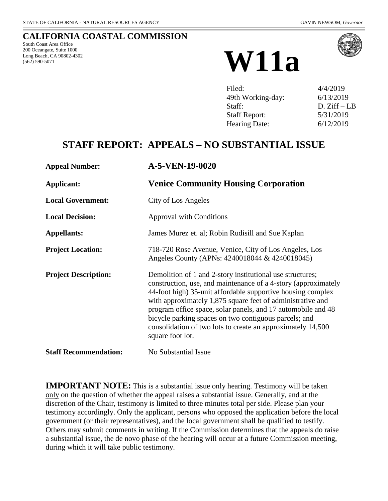### **CALIFORNIA COASTAL COMMISSION**

South Coast Area Office 200 Oceangate, Suite 1000 Long Beach, CA 90802-4302



| Filed:               | 4/4/2019      |
|----------------------|---------------|
| 49th Working-day:    | 6/13/2019     |
| Staff:               | $D. Ziff-I.B$ |
| <b>Staff Report:</b> | 5/31/2019     |
| Hearing Date:        | 6/12/2019     |

# **STAFF REPORT: APPEALS – NO SUBSTANTIAL ISSUE**

| <b>Appeal Number:</b>        | A-5-VEN-19-0020                                                                                                                                                                                                                                                                                                                                                                                                                                                      |
|------------------------------|----------------------------------------------------------------------------------------------------------------------------------------------------------------------------------------------------------------------------------------------------------------------------------------------------------------------------------------------------------------------------------------------------------------------------------------------------------------------|
| Applicant:                   | <b>Venice Community Housing Corporation</b>                                                                                                                                                                                                                                                                                                                                                                                                                          |
| <b>Local Government:</b>     | City of Los Angeles                                                                                                                                                                                                                                                                                                                                                                                                                                                  |
| <b>Local Decision:</b>       | <b>Approval with Conditions</b>                                                                                                                                                                                                                                                                                                                                                                                                                                      |
| <b>Appellants:</b>           | James Murez et. al; Robin Rudisill and Sue Kaplan                                                                                                                                                                                                                                                                                                                                                                                                                    |
| <b>Project Location:</b>     | 718-720 Rose Avenue, Venice, City of Los Angeles, Los<br>Angeles County (APNs: 4240018044 & 4240018045)                                                                                                                                                                                                                                                                                                                                                              |
| <b>Project Description:</b>  | Demolition of 1 and 2-story institutional use structures;<br>construction, use, and maintenance of a 4-story (approximately<br>44-foot high) 35-unit affordable supportive housing complex<br>with approximately 1,875 square feet of administrative and<br>program office space, solar panels, and 17 automobile and 48<br>bicycle parking spaces on two contiguous parcels; and<br>consolidation of two lots to create an approximately 14,500<br>square foot lot. |
| <b>Staff Recommendation:</b> | No Substantial Issue                                                                                                                                                                                                                                                                                                                                                                                                                                                 |

**IMPORTANT NOTE:** This is a substantial issue only hearing. Testimony will be taken only on the question of whether the appeal raises a substantial issue. Generally, and at the discretion of the Chair, testimony is limited to three minutes total per side. Please plan your testimony accordingly. Only the applicant, persons who opposed the application before the local government (or their representatives), and the local government shall be qualified to testify. Others may submit comments in writing. If the Commission determines that the appeals do raise a substantial issue, the de novo phase of the hearing will occur at a future Commission meeting, during which it will take public testimony.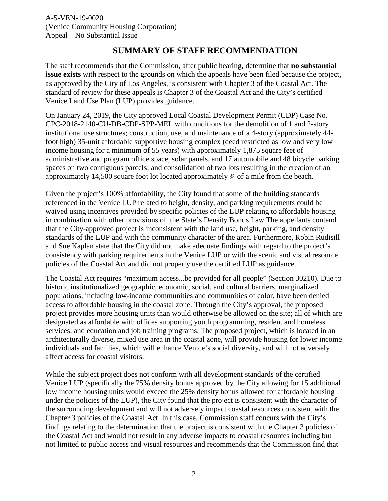### **SUMMARY OF STAFF RECOMMENDATION**

The staff recommends that the Commission, after public hearing, determine that **no substantial issue exists** with respect to the grounds on which the appeals have been filed because the project, as approved by the City of Los Angeles, is consistent with Chapter 3 of the Coastal Act. The standard of review for these appeals is Chapter 3 of the Coastal Act and the City's certified Venice Land Use Plan (LUP) provides guidance.

On January 24, 2019, the City approved Local Coastal Development Permit (CDP) Case No. CPC-2018-2140-CU-DB-CDP-SPP-MEL with conditions for the demolition of 1 and 2-story institutional use structures; construction, use, and maintenance of a 4-story (approximately 44 foot high) 35-unit affordable supportive housing complex (deed restricted as low and very low income housing for a minimum of 55 years) with approximately 1,875 square feet of administrative and program office space, solar panels, and 17 automobile and 48 bicycle parking spaces on two contiguous parcels; and consolidation of two lots resulting in the creation of an approximately 14,500 square foot lot located approximately ¾ of a mile from the beach.

Given the project's 100% affordability, the City found that some of the building standards referenced in the Venice LUP related to height, density, and parking requirements could be waived using incentives provided by specific policies of the LUP relating to affordable housing in combination with other provisions of the State's Density Bonus Law.The appellants contend that the City-approved project is inconsistent with the land use, height, parking, and density standards of the LUP and with the community character of the area. Furthermore, Robin Rudisill and Sue Kaplan state that the City did not make adequate findings with regard to the project's consistency with parking requirements in the Venice LUP or with the scenic and visual resource policies of the Coastal Act and did not properly use the certified LUP as guidance.

The Coastal Act requires "maximum access...be provided for all people" (Section 30210). Due to historic institutionalized geographic, economic, social, and cultural barriers, marginalized populations, including low-income communities and communities of color, have been denied access to affordable housing in the coastal zone. Through the City's approval, the proposed project provides more housing units than would otherwise be allowed on the site; all of which are designated as affordable with offices supporting youth programming, resident and homeless services, and education and job training programs. The proposed project, which is located in an architecturally diverse, mixed use area in the coastal zone, will provide housing for lower income individuals and families, which will enhance Venice's social diversity, and will not adversely affect access for coastal visitors.

While the subject project does not conform with all development standards of the certified Venice LUP (specifically the 75% density bonus approved by the City allowing for 15 additional low income housing units would exceed the 25% density bonus allowed for affordable housing under the policies of the LUP), the City found that the project is consistent with the character of the surrounding development and will not adversely impact coastal resources consistent with the Chapter 3 policies of the Coastal Act. In this case, Commission staff concurs with the City's findings relating to the determination that the project is consistent with the Chapter 3 policies of the Coastal Act and would not result in any adverse impacts to coastal resources including but not limited to public access and visual resources and recommends that the Commission find that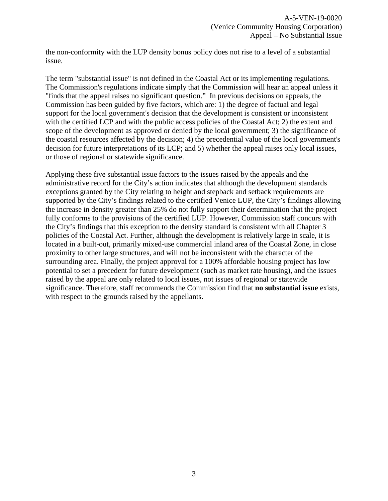the non-conformity with the LUP density bonus policy does not rise to a level of a substantial issue.

The term "substantial issue" is not defined in the Coastal Act or its implementing regulations. The Commission's regulations indicate simply that the Commission will hear an appeal unless it "finds that the appeal raises no significant question." In previous decisions on appeals, the Commission has been guided by five factors, which are: 1) the degree of factual and legal support for the local government's decision that the development is consistent or inconsistent with the certified LCP and with the public access policies of the Coastal Act; 2) the extent and scope of the development as approved or denied by the local government; 3) the significance of the coastal resources affected by the decision; 4) the precedential value of the local government's decision for future interpretations of its LCP; and 5) whether the appeal raises only local issues, or those of regional or statewide significance.

Applying these five substantial issue factors to the issues raised by the appeals and the administrative record for the City's action indicates that although the development standards exceptions granted by the City relating to height and stepback and setback requirements are supported by the City's findings related to the certified Venice LUP, the City's findings allowing the increase in density greater than 25% do not fully support their determination that the project fully conforms to the provisions of the certified LUP. However, Commission staff concurs with the City's findings that this exception to the density standard is consistent with all Chapter 3 policies of the Coastal Act. Further, although the development is relatively large in scale, it is located in a built-out, primarily mixed-use commercial inland area of the Coastal Zone, in close proximity to other large structures, and will not be inconsistent with the character of the surrounding area. Finally, the project approval for a 100% affordable housing project has low potential to set a precedent for future development (such as market rate housing), and the issues raised by the appeal are only related to local issues, not issues of regional or statewide significance. Therefore, staff recommends the Commission find that **no substantial issue** exists, with respect to the grounds raised by the appellants.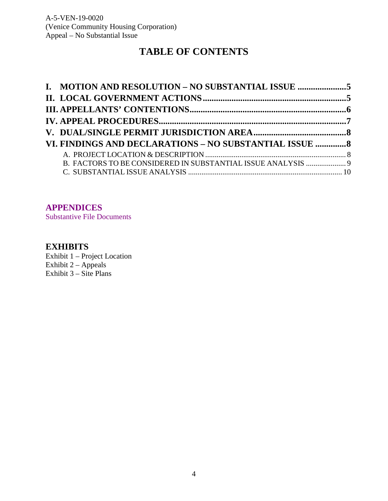# **TABLE OF CONTENTS**

| I. MOTION AND RESOLUTION - NO SUBSTANTIAL ISSUE 5            |  |
|--------------------------------------------------------------|--|
|                                                              |  |
|                                                              |  |
|                                                              |  |
|                                                              |  |
| VI. FINDINGS AND DECLARATIONS - NO SUBSTANTIAL ISSUE  8      |  |
|                                                              |  |
| B. FACTORS TO BE CONSIDERED IN SUBSTANTIAL ISSUE ANALYSIS  9 |  |
|                                                              |  |

### **[APPENDICES](#page-20-0)**

[Substantive File Documents](#page-20-0)

### **[EXHIBITS](https://documents.coastal.ca.gov/reports/2019/6/w11a/w11a-6-2019-exhibits.pdf)**

[Exhibit 1 – Project Location](https://documents.coastal.ca.gov/reports/2019/6/w11a/w11a-6-2019-exhibits.pdf)  [Exhibit 2 – Appeals](https://documents.coastal.ca.gov/reports/2019/6/w11a/w11a-6-2019-exhibits.pdf) [Exhibit 3 – Site Plans](https://documents.coastal.ca.gov/reports/2019/6/w11a/w11a-6-2019-exhibits.pdf)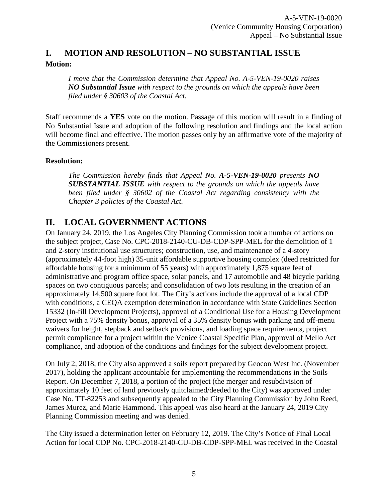## <span id="page-4-0"></span>**I. MOTION AND RESOLUTION – NO SUBSTANTIAL ISSUE Motion:**

*I move that the Commission determine that Appeal No. A-5-VEN-19-0020 raises NO Substantial Issue with respect to the grounds on which the appeals have been filed under § 30603 of the Coastal Act.*

Staff recommends a **YES** vote on the motion. Passage of this motion will result in a finding of No Substantial Issue and adoption of the following resolution and findings and the local action will become final and effective. The motion passes only by an affirmative vote of the majority of the Commissioners present.

#### **Resolution:**

*The Commission hereby finds that Appeal No. A-5-VEN-19-0020 presents NO SUBSTANTIAL ISSUE with respect to the grounds on which the appeals have been filed under § 30602 of the Coastal Act regarding consistency with the Chapter 3 policies of the Coastal Act.*

## <span id="page-4-1"></span>**II. LOCAL GOVERNMENT ACTIONS**

On January 24, 2019, the Los Angeles City Planning Commission took a number of actions on the subject project, Case No. CPC-2018-2140-CU-DB-CDP-SPP-MEL for the demolition of 1 and 2-story institutional use structures; construction, use, and maintenance of a 4-story (approximately 44-foot high) 35-unit affordable supportive housing complex (deed restricted for affordable housing for a minimum of 55 years) with approximately 1,875 square feet of administrative and program office space, solar panels, and 17 automobile and 48 bicycle parking spaces on two contiguous parcels; and consolidation of two lots resulting in the creation of an approximately 14,500 square foot lot. The City's actions include the approval of a local CDP with conditions, a CEQA exemption determination in accordance with State Guidelines Section 15332 (In-fill Development Projects), approval of a Conditional Use for a Housing Development Project with a 75% density bonus, approval of a 35% density bonus with parking and off-menu waivers for height, stepback and setback provisions, and loading space requirements, project permit compliance for a project within the Venice Coastal Specific Plan, approval of Mello Act compliance, and adoption of the conditions and findings for the subject development project.

On July 2, 2018, the City also approved a soils report prepared by Geocon West Inc. (November 2017), holding the applicant accountable for implementing the recommendations in the Soils Report. On December 7, 2018, a portion of the project (the merger and resubdivision of approximately 10 feet of land previously quitclaimed/deeded to the City) was approved under Case No. TT-82253 and subsequently appealed to the City Planning Commission by John Reed, James Murez, and Marie Hammond. This appeal was also heard at the January 24, 2019 City Planning Commission meeting and was denied.

The City issued a determination letter on February 12, 2019. The City's Notice of Final Local Action for local CDP No. CPC-2018-2140-CU-DB-CDP-SPP-MEL was received in the Coastal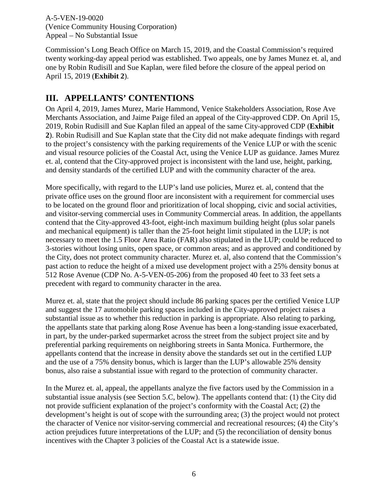Commission's Long Beach Office on March 15, 2019, and the Coastal Commission's required twenty working-day appeal period was established. Two appeals, one by James Munez et. al, and one by Robin Rudisill and Sue Kaplan, were filed before the closure of the appeal period on April 15, 2019 (**[Exhibit 2](https://documents.coastal.ca.gov/reports/2019/6/w11a/w11a-6-2019-exhibits.pdf)**).

## <span id="page-5-0"></span>**III. APPELLANTS' CONTENTIONS**

On April 4, 2019, James Murez, Marie Hammond, Venice Stakeholders Association, Rose Ave Merchants Association, and Jaime Paige filed an appeal of the City-approved CDP. On April 15, 2019, Robin Rudisill and Sue Kaplan filed an appeal of the same City-approved CDP (**[Exhibit](https://documents.coastal.ca.gov/reports/2019/6/w11a/w11a-6-2019-exhibits.pdf)  [2](https://documents.coastal.ca.gov/reports/2019/6/w11a/w11a-6-2019-exhibits.pdf)**). Robin Rudisill and Sue Kaplan state that the City did not make adequate findings with regard to the project's consistency with the parking requirements of the Venice LUP or with the scenic and visual resource policies of the Coastal Act, using the Venice LUP as guidance. James Murez et. al, contend that the City-approved project is inconsistent with the land use, height, parking, and density standards of the certified LUP and with the community character of the area.

More specifically, with regard to the LUP's land use policies, Murez et. al, contend that the private office uses on the ground floor are inconsistent with a requirement for commercial uses to be located on the ground floor and prioritization of local shopping, civic and social activities, and visitor-serving commercial uses in Community Commercial areas. In addition, the appellants contend that the City-approved 43-foot, eight-inch maximum building height (plus solar panels and mechanical equipment) is taller than the 25-foot height limit stipulated in the LUP; is not necessary to meet the 1.5 Floor Area Ratio (FAR) also stipulated in the LUP; could be reduced to 3-stories without losing units, open space, or common areas; and as approved and conditioned by the City, does not protect community character. Murez et. al, also contend that the Commission's past action to reduce the height of a mixed use development project with a 25% density bonus at 512 Rose Avenue (CDP No. A-5-VEN-05-206) from the proposed 40 feet to 33 feet sets a precedent with regard to community character in the area.

Murez et. al, state that the project should include 86 parking spaces per the certified Venice LUP and suggest the 17 automobile parking spaces included in the City-approved project raises a substantial issue as to whether this reduction in parking is appropriate. Also relating to parking, the appellants state that parking along Rose Avenue has been a long-standing issue exacerbated, in part, by the under-parked supermarket across the street from the subject project site and by preferential parking requirements on neighboring streets in Santa Monica. Furthermore, the appellants contend that the increase in density above the standards set out in the certified LUP and the use of a 75% density bonus, which is larger than the LUP's allowable 25% density bonus, also raise a substantial issue with regard to the protection of community character.

In the Murez et. al, appeal, the appellants analyze the five factors used by the Commission in a substantial issue analysis (see Section 5.C, below). The appellants contend that: (1) the City did not provide sufficient explanation of the project's conformity with the Coastal Act; (2) the development's height is out of scope with the surrounding area; (3) the project would not protect the character of Venice nor visitor-serving commercial and recreational resources; (4) the City's action prejudices future interpretations of the LUP; and (5) the reconciliation of density bonus incentives with the Chapter 3 policies of the Coastal Act is a statewide issue.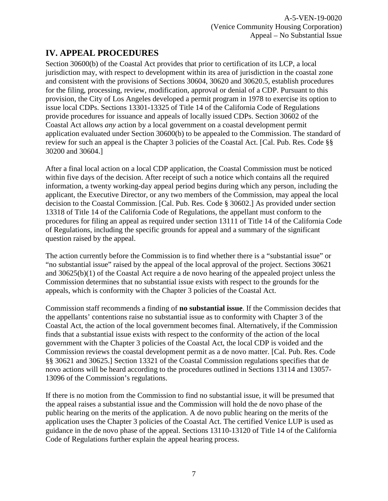# <span id="page-6-0"></span>**IV. APPEAL PROCEDURES**

Section 30600(b) of the Coastal Act provides that prior to certification of its LCP, a local jurisdiction may, with respect to development within its area of jurisdiction in the coastal zone and consistent with the provisions of Sections 30604, 30620 and 30620.5, establish procedures for the filing, processing, review, modification, approval or denial of a CDP. Pursuant to this provision, the City of Los Angeles developed a permit program in 1978 to exercise its option to issue local CDPs. Sections 13301-13325 of Title 14 of the California Code of Regulations provide procedures for issuance and appeals of locally issued CDPs. Section 30602 of the Coastal Act allows *any* action by a local government on a coastal development permit application evaluated under Section 30600(b) to be appealed to the Commission. The standard of review for such an appeal is the Chapter 3 policies of the Coastal Act. [Cal. Pub. Res. Code §§ 30200 and 30604.]

After a final local action on a local CDP application, the Coastal Commission must be noticed within five days of the decision. After receipt of such a notice which contains all the required information, a twenty working-day appeal period begins during which any person, including the applicant, the Executive Director, or any two members of the Commission, may appeal the local decision to the Coastal Commission. [Cal. Pub. Res. Code § 30602.] As provided under section 13318 of Title 14 of the California Code of Regulations, the appellant must conform to the procedures for filing an appeal as required under section 13111 of Title 14 of the California Code of Regulations, including the specific grounds for appeal and a summary of the significant question raised by the appeal.

The action currently before the Commission is to find whether there is a "substantial issue" or "no substantial issue" raised by the appeal of the local approval of the project. Sections 30621 and 30625(b)(1) of the Coastal Act require a de novo hearing of the appealed project unless the Commission determines that no substantial issue exists with respect to the grounds for the appeals, which is conformity with the Chapter 3 policies of the Coastal Act.

Commission staff recommends a finding of **no substantial issue**. If the Commission decides that the appellants' contentions raise no substantial issue as to conformity with Chapter 3 of the Coastal Act, the action of the local government becomes final. Alternatively, if the Commission finds that a substantial issue exists with respect to the conformity of the action of the local government with the Chapter 3 policies of the Coastal Act, the local CDP is voided and the Commission reviews the coastal development permit as a de novo matter. [Cal. Pub. Res. Code §§ 30621 and 30625.] Section 13321 of the Coastal Commission regulations specifies that de novo actions will be heard according to the procedures outlined in Sections 13114 and 13057- 13096 of the Commission's regulations.

If there is no motion from the Commission to find no substantial issue, it will be presumed that the appeal raises a substantial issue and the Commission will hold the de novo phase of the public hearing on the merits of the application. A de novo public hearing on the merits of the application uses the Chapter 3 policies of the Coastal Act. The certified Venice LUP is used as guidance in the de novo phase of the appeal. Sections 13110-13120 of Title 14 of the California Code of Regulations further explain the appeal hearing process.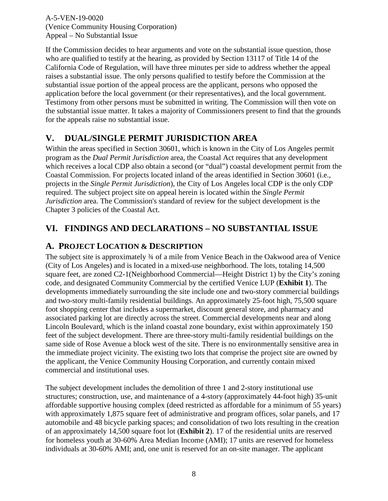If the Commission decides to hear arguments and vote on the substantial issue question, those who are qualified to testify at the hearing, as provided by Section 13117 of Title 14 of the California Code of Regulation, will have three minutes per side to address whether the appeal raises a substantial issue. The only persons qualified to testify before the Commission at the substantial issue portion of the appeal process are the applicant, persons who opposed the application before the local government (or their representatives), and the local government. Testimony from other persons must be submitted in writing. The Commission will then vote on the substantial issue matter. It takes a majority of Commissioners present to find that the grounds for the appeals raise no substantial issue.

## <span id="page-7-0"></span>**V. DUAL/SINGLE PERMIT JURISDICTION AREA**

Within the areas specified in Section 30601, which is known in the City of Los Angeles permit program as the *Dual Permit Jurisdiction* area, the Coastal Act requires that any development which receives a local CDP also obtain a second (or "dual") coastal development permit from the Coastal Commission. For projects located inland of the areas identified in Section 30601 (i.e., projects in the *Single Permit Jurisdiction*), the City of Los Angeles local CDP is the only CDP required. The subject project site on appeal herein is located within the *Single Permit Jurisdiction* area. The Commission's standard of review for the subject development is the Chapter 3 policies of the Coastal Act.

## <span id="page-7-1"></span>**VI. FINDINGS AND DECLARATIONS – NO SUBSTANTIAL ISSUE**

## <span id="page-7-2"></span>**A. PROJECT LOCATION & DESCRIPTION**

The subject site is approximately 34 of a mile from Venice Beach in the Oakwood area of Venice (City of Los Angeles) and is located in a mixed-use neighborhood. The lots, totaling 14,500 square feet, are zoned C2-1(Neighborhood Commercial—Height District 1) by the City's zoning code, and designated Community Commercial by the certified Venice LUP (**[Exhibit 1](https://documents.coastal.ca.gov/reports/2019/6/w11a/w11a-6-2019-exhibits.pdf)**). The developments immediately surrounding the site include one and two-story commercial buildings and two-story multi-family residential buildings. An approximately 25-foot high, 75,500 square foot shopping center that includes a supermarket, discount general store, and pharmacy and associated parking lot are directly across the street. Commercial developments near and along Lincoln Boulevard, which is the inland coastal zone boundary, exist within approximately 150 feet of the subject development. There are three-story multi-family residential buildings on the same side of Rose Avenue a block west of the site. There is no environmentally sensitive area in the immediate project vicinity. The existing two lots that comprise the project site are owned by the applicant, the Venice Community Housing Corporation, and currently contain mixed commercial and institutional uses.

The subject development includes the demolition of three 1 and 2-story institutional use structures; construction, use, and maintenance of a 4-story (approximately 44-foot high) 35-unit affordable supportive housing complex (deed restricted as affordable for a minimum of 55 years) with approximately 1,875 square feet of administrative and program offices, solar panels, and 17 automobile and 48 bicycle parking spaces; and consolidation of two lots resulting in the creation of an approximately 14,500 square foot lot (**[Exhibit 2](https://documents.coastal.ca.gov/reports/2019/6/w11a/w11a-6-2019-exhibits.pdf)**). 17 of the residential units are reserved for homeless youth at 30-60% Area Median Income (AMI); 17 units are reserved for homeless individuals at 30-60% AMI; and, one unit is reserved for an on-site manager. The applicant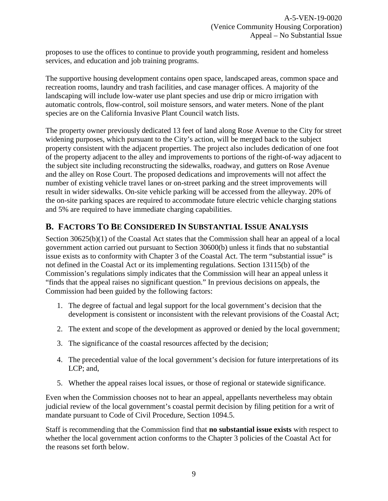proposes to use the offices to continue to provide youth programming, resident and homeless services, and education and job training programs.

The supportive housing development contains open space, landscaped areas, common space and recreation rooms, laundry and trash facilities, and case manager offices. A majority of the landscaping will include low-water use plant species and use drip or micro irrigation with automatic controls, flow-control, soil moisture sensors, and water meters. None of the plant species are on the California Invasive Plant Council watch lists.

The property owner previously dedicated 13 feet of land along Rose Avenue to the City for street widening purposes, which pursuant to the City's action, will be merged back to the subject property consistent with the adjacent properties. The project also includes dedication of one foot of the property adjacent to the alley and improvements to portions of the right-of-way adjacent to the subject site including reconstructing the sidewalks, roadway, and gutters on Rose Avenue and the alley on Rose Court. The proposed dedications and improvements will not affect the number of existing vehicle travel lanes or on-street parking and the street improvements will result in wider sidewalks. On-site vehicle parking will be accessed from the alleyway. 20% of the on-site parking spaces are required to accommodate future electric vehicle charging stations and 5% are required to have immediate charging capabilities.

### <span id="page-8-0"></span>**B. FACTORS TO BE CONSIDERED IN SUBSTANTIAL ISSUE ANALYSIS**

Section 30625(b)(1) of the Coastal Act states that the Commission shall hear an appeal of a local government action carried out pursuant to Section 30600(b) unless it finds that no substantial issue exists as to conformity with Chapter 3 of the Coastal Act. The term "substantial issue" is not defined in the Coastal Act or its implementing regulations. Section 13115(b) of the Commission's regulations simply indicates that the Commission will hear an appeal unless it "finds that the appeal raises no significant question." In previous decisions on appeals, the Commission had been guided by the following factors:

- 1. The degree of factual and legal support for the local government's decision that the development is consistent or inconsistent with the relevant provisions of the Coastal Act;
- 2. The extent and scope of the development as approved or denied by the local government;
- 3. The significance of the coastal resources affected by the decision;
- 4. The precedential value of the local government's decision for future interpretations of its LCP; and,
- 5. Whether the appeal raises local issues, or those of regional or statewide significance.

Even when the Commission chooses not to hear an appeal, appellants nevertheless may obtain judicial review of the local government's coastal permit decision by filing petition for a writ of mandate pursuant to Code of Civil Procedure, Section 1094.5.

Staff is recommending that the Commission find that **no substantial issue exists** with respect to whether the local government action conforms to the Chapter 3 policies of the Coastal Act for the reasons set forth below.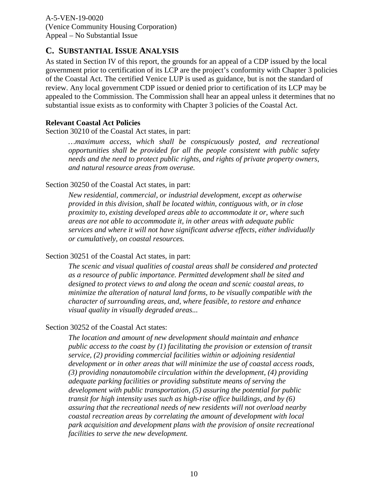### <span id="page-9-0"></span>**C. SUBSTANTIAL ISSUE ANALYSIS**

As stated in Section IV of this report, the grounds for an appeal of a CDP issued by the local government prior to certification of its LCP are the project's conformity with Chapter 3 policies of the Coastal Act. The certified Venice LUP is used as guidance, but is not the standard of review. Any local government CDP issued or denied prior to certification of its LCP may be appealed to the Commission. The Commission shall hear an appeal unless it determines that no substantial issue exists as to conformity with Chapter 3 policies of the Coastal Act.

#### **Relevant Coastal Act Policies**

Section 30210 of the Coastal Act states, in part:

*…maximum access, which shall be conspicuously posted, and recreational opportunities shall be provided for all the people consistent with public safety needs and the need to protect public rights, and rights of private property owners, and natural resource areas from overuse.* 

#### Section 30250 of the Coastal Act states, in part:

*New residential, commercial, or industrial development, except as otherwise provided in this division, shall be located within, contiguous with, or in close proximity to, existing developed areas able to accommodate it or, where such areas are not able to accommodate it, in other areas with adequate public services and where it will not have significant adverse effects, either individually or cumulatively, on coastal resources.* 

#### Section 30251 of the Coastal Act states, in part:

*The scenic and visual qualities of coastal areas shall be considered and protected as a resource of public importance. Permitted development shall be sited and designed to protect views to and along the ocean and scenic coastal areas, to minimize the alteration of natural land forms, to be visually compatible with the character of surrounding areas, and, where feasible, to restore and enhance visual quality in visually degraded areas...*

#### Section 30252 of the Coastal Act states:

*The location and amount of new development should maintain and enhance public access to the coast by (1) facilitating the provision or extension of transit service, (2) providing commercial facilities within or adjoining residential development or in other areas that will minimize the use of coastal access roads, (3) providing nonautomobile circulation within the development, (4) providing adequate parking facilities or providing substitute means of serving the development with public transportation, (5) assuring the potential for public transit for high intensity uses such as high-rise office buildings, and by (6) assuring that the recreational needs of new residents will not overload nearby coastal recreation areas by correlating the amount of development with local park acquisition and development plans with the provision of onsite recreational facilities to serve the new development.*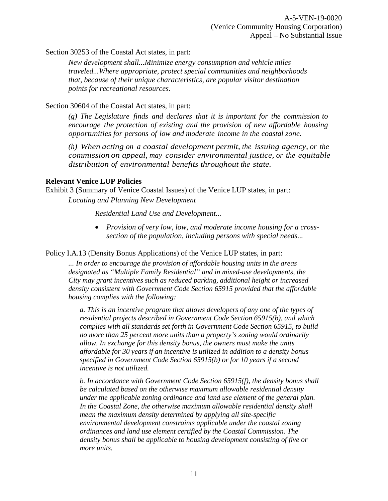Section 30253 of the Coastal Act states, in part:

*New development shall...Minimize energy consumption and vehicle miles traveled...Where appropriate, protect special communities and neighborhoods that, because of their unique characteristics, are popular visitor destination points for recreational resources.*

Section 30604 of the Coastal Act states, in part:

*(g) The Legislature finds and declares that it is important for the commission to encourage the protection of existing and the provision of new affordable housing opportunities for persons of low and moderate income in the coastal zone.*

*(h) When acting on a coastal development permit, the issuing agency, or the commission on appeal, may consider environmental justice, or the equitable distribution of environmental benefits throughout the state.*

#### **Relevant Venice LUP Policies**

Exhibit 3 (Summary of Venice Coastal Issues) of the Venice LUP states, in part: *Locating and Planning New Development* 

 *Residential Land Use and Development...* 

• *Provision of very low, low, and moderate income housing for a crosssection of the population, including persons with special needs...* 

Policy I.A.13 (Density Bonus Applications) of the Venice LUP states, in part:

*... In order to encourage the provision of affordable housing units in the areas designated as "Multiple Family Residential" and in mixed-use developments, the City may grant incentives such as reduced parking, additional height or increased density consistent with Government Code Section 65915 provided that the affordable housing complies with the following:* 

*a. This is an incentive program that allows developers of any one of the types of residential projects described in Government Code Section 65915(b), and which complies with all standards set forth in Government Code Section 65915, to build no more than 25 percent more units than a property's zoning would ordinarily allow. In exchange for this density bonus, the owners must make the units affordable for 30 years if an incentive is utilized in addition to a density bonus specified in Government Code Section 65915(b) or for 10 years if a second incentive is not utilized.*

*b. In accordance with Government Code Section 65915(f), the density bonus shall be calculated based on the otherwise maximum allowable residential density under the applicable zoning ordinance and land use element of the general plan. In the Coastal Zone, the otherwise maximum allowable residential density shall mean the maximum density determined by applying all site-specific environmental development constraints applicable under the coastal zoning ordinances and land use element certified by the Coastal Commission. The density bonus shall be applicable to housing development consisting of five or more units.*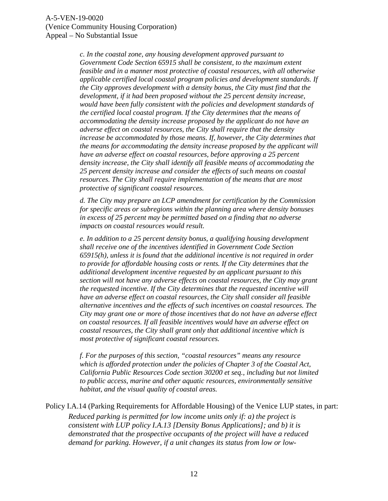*c. In the coastal zone, any housing development approved pursuant to Government Code Section 65915 shall be consistent, to the maximum extent feasible and in a manner most protective of coastal resources, with all otherwise applicable certified local coastal program policies and development standards. If the City approves development with a density bonus, the City must find that the development, if it had been proposed without the 25 percent density increase, would have been fully consistent with the policies and development standards of the certified local coastal program. If the City determines that the means of accommodating the density increase proposed by the applicant do not have an adverse effect on coastal resources, the City shall require that the density increase be accommodated by those means. If, however, the City determines that the means for accommodating the density increase proposed by the applicant will have an adverse effect on coastal resources, before approving a 25 percent density increase, the City shall identify all feasible means of accommodating the 25 percent density increase and consider the effects of such means on coastal resources. The City shall require implementation of the means that are most protective of significant coastal resources.* 

*d. The City may prepare an LCP amendment for certification by the Commission for specific areas or subregions within the planning area where density bonuses in excess of 25 percent may be permitted based on a finding that no adverse impacts on coastal resources would result.* 

*e. In addition to a 25 percent density bonus, a qualifying housing development shall receive one of the incentives identified in Government Code Section 65915(h), unless it is found that the additional incentive is not required in order to provide for affordable housing costs or rents. If the City determines that the additional development incentive requested by an applicant pursuant to this section will not have any adverse effects on coastal resources, the City may grant the requested incentive. If the City determines that the requested incentive will have an adverse effect on coastal resources, the City shall consider all feasible alternative incentives and the effects of such incentives on coastal resources. The City may grant one or more of those incentives that do not have an adverse effect on coastal resources. If all feasible incentives would have an adverse effect on coastal resources, the City shall grant only that additional incentive which is most protective of significant coastal resources.*

*f. For the purposes of this section, "coastal resources" means any resource which is afforded protection under the policies of Chapter 3 of the Coastal Act, California Public Resources Code section 30200 et seq., including but not limited to public access, marine and other aquatic resources, environmentally sensitive habitat, and the visual quality of coastal areas.* 

Policy I.A.14 (Parking Requirements for Affordable Housing) of the Venice LUP states, in part: *Reduced parking is permitted for low income units only if: a) the project is consistent with LUP policy I.A.13 [Density Bonus Applications]; and b) it is demonstrated that the prospective occupants of the project will have a reduced demand for parking. However, if a unit changes its status from low or low-*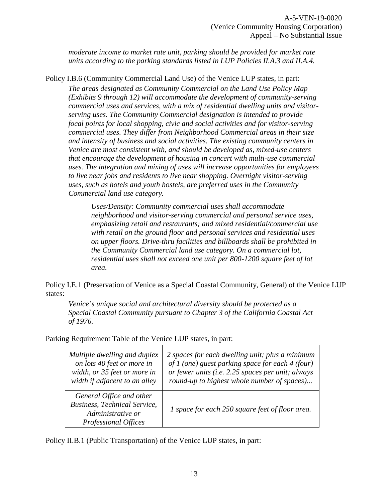*moderate income to market rate unit, parking should be provided for market rate units according to the parking standards listed in LUP Policies II.A.3 and II.A.4.* 

Policy I.B.6 (Community Commercial Land Use) of the Venice LUP states, in part:

*The areas designated as Community Commercial on the Land Use Policy Map (Exhibits 9 through 12) will accommodate the development of community-serving commercial uses and services, with a mix of residential dwelling units and visitorserving uses. The Community Commercial designation is intended to provide focal points for local shopping, civic and social activities and for visitor-serving commercial uses. They differ from Neighborhood Commercial areas in their size and intensity of business and social activities. The existing community centers in Venice are most consistent with, and should be developed as, mixed-use centers that encourage the development of housing in concert with multi-use commercial uses. The integration and mixing of uses will increase opportunities for employees to live near jobs and residents to live near shopping. Overnight visitor-serving uses, such as hotels and youth hostels, are preferred uses in the Community Commercial land use category.*

*Uses/Density: Community commercial uses shall accommodate neighborhood and visitor-serving commercial and personal service uses, emphasizing retail and restaurants; and mixed residential/commercial use with retail on the ground floor and personal services and residential uses on upper floors. Drive-thru facilities and billboards shall be prohibited in the Community Commercial land use category. On a commercial lot, residential uses shall not exceed one unit per 800-1200 square feet of lot area.* 

Policy I.E.1 (Preservation of Venice as a Special Coastal Community, General) of the Venice LUP states:

*Venice's unique social and architectural diversity should be protected as a Special Coastal Community pursuant to Chapter 3 of the California Coastal Act of 1976.* 

Parking Requirement Table of the Venice LUP states, in part:

| Multiple dwelling and duplex                                                                                        | 2 spaces for each dwelling unit; plus a minimum   |
|---------------------------------------------------------------------------------------------------------------------|---------------------------------------------------|
| on lots 40 feet or more in                                                                                          | of 1 (one) guest parking space for each 4 (four)  |
| width, or 35 feet or more in                                                                                        | or fewer units (i.e. 2.25 spaces per unit; always |
| width if adjacent to an alley                                                                                       | round-up to highest whole number of spaces)       |
| General Office and other<br><b>Business, Technical Service,</b><br>Administrative or<br><b>Professional Offices</b> | 1 space for each 250 square feet of floor area.   |

Policy II.B.1 (Public Transportation) of the Venice LUP states, in part: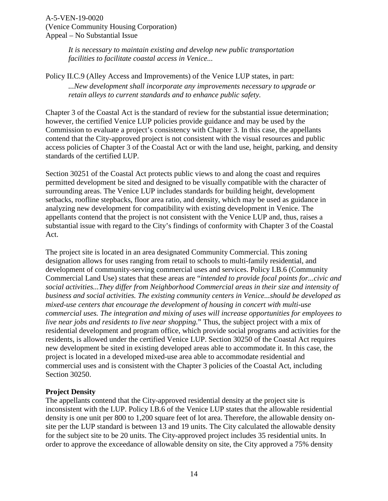*It is necessary to maintain existing and develop new public transportation facilities to facilitate coastal access in Venice...*

#### Policy II.C.9 (Alley Access and Improvements) of the Venice LUP states, in part: *...New development shall incorporate any improvements necessary to upgrade or retain alleys to current standards and to enhance public safety.*

Chapter 3 of the Coastal Act is the standard of review for the substantial issue determination; however, the certified Venice LUP policies provide guidance and may be used by the Commission to evaluate a project's consistency with Chapter 3. In this case, the appellants contend that the City-approved project is not consistent with the visual resources and public access policies of Chapter 3 of the Coastal Act or with the land use, height, parking, and density standards of the certified LUP.

Section 30251 of the Coastal Act protects public views to and along the coast and requires permitted development be sited and designed to be visually compatible with the character of surrounding areas. The Venice LUP includes standards for building height, development setbacks, roofline stepbacks, floor area ratio, and density, which may be used as guidance in analyzing new development for compatibility with existing development in Venice. The appellants contend that the project is not consistent with the Venice LUP and, thus, raises a substantial issue with regard to the City's findings of conformity with Chapter 3 of the Coastal Act.

The project site is located in an area designated Community Commercial. This zoning designation allows for uses ranging from retail to schools to multi-family residential, and development of community-serving commercial uses and services. Policy I.B.6 (Community Commercial Land Use) states that these areas are "*intended to provide focal points for...civic and social activities...They differ from Neighborhood Commercial areas in their size and intensity of business and social activities. The existing community centers in Venice...should be developed as mixed-use centers that encourage the development of housing in concert with multi-use commercial uses. The integration and mixing of uses will increase opportunities for employees to live near jobs and residents to live near shopping.*" Thus, the subject project with a mix of residential development and program office, which provide social programs and activities for the residents, is allowed under the certified Venice LUP. Section 30250 of the Coastal Act requires new development be sited in existing developed areas able to accommodate it. In this case, the project is located in a developed mixed-use area able to accommodate residential and commercial uses and is consistent with the Chapter 3 policies of the Coastal Act, including Section 30250.

#### **Project Density**

The appellants contend that the City-approved residential density at the project site is inconsistent with the LUP. Policy I.B.6 of the Venice LUP states that the allowable residential density is one unit per 800 to 1,200 square feet of lot area. Therefore, the allowable density onsite per the LUP standard is between 13 and 19 units. The City calculated the allowable density for the subject site to be 20 units. The City-approved project includes 35 residential units. In order to approve the exceedance of allowable density on site, the City approved a 75% density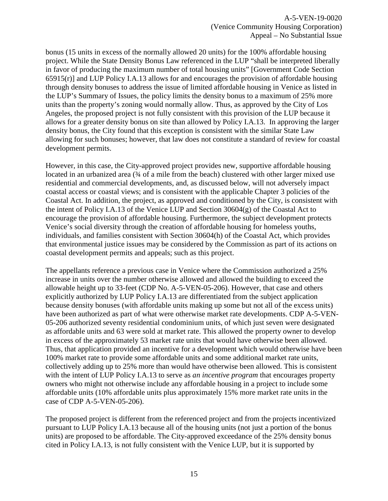bonus (15 units in excess of the normally allowed 20 units) for the 100% affordable housing project. While the State Density Bonus Law referenced in the LUP "shall be interpreted liberally in favor of producing the maximum number of total housing units" [Government Code Section 65915(r)] and LUP Policy I.A.13 allows for and encourages the provision of affordable housing through density bonuses to address the issue of limited affordable housing in Venice as listed in the LUP's Summary of Issues, the policy limits the density bonus to a maximum of 25% more units than the property's zoning would normally allow. Thus, as approved by the City of Los Angeles, the proposed project is not fully consistent with this provision of the LUP because it allows for a greater density bonus on site than allowed by Policy I.A.13. In approving the larger density bonus, the City found that this exception is consistent with the similar State Law allowing for such bonuses; however, that law does not constitute a standard of review for coastal development permits.

However, in this case, the City-approved project provides new, supportive affordable housing located in an urbanized area  $(3/4)$  of a mile from the beach) clustered with other larger mixed use residential and commercial developments, and, as discussed below, will not adversely impact coastal access or coastal views; and is consistent with the applicable Chapter 3 policies of the Coastal Act. In addition, the project, as approved and conditioned by the City, is consistent with the intent of Policy I.A.13 of the Venice LUP and Section 30604(g) of the Coastal Act to encourage the provision of affordable housing. Furthermore, the subject development protects Venice's social diversity through the creation of affordable housing for homeless youths, individuals, and families consistent with Section 30604(h) of the Coastal Act, which provides that environmental justice issues may be considered by the Commission as part of its actions on coastal development permits and appeals; such as this project.

The appellants reference a previous case in Venice where the Commission authorized a 25% increase in units over the number otherwise allowed and allowed the building to exceed the allowable height up to 33-feet (CDP No. A-5-VEN-05-206). However, that case and others explicitly authorized by LUP Policy I.A.13 are differentiated from the subject application because density bonuses (with affordable units making up some but not all of the excess units) have been authorized as part of what were otherwise market rate developments. CDP A-5-VEN-05-206 authorized seventy residential condominium units, of which just seven were designated as affordable units and 63 were sold at market rate. This allowed the property owner to develop in excess of the approximately 53 market rate units that would have otherwise been allowed. Thus, that application provided an incentive for a development which would otherwise have been 100% market rate to provide some affordable units and some additional market rate units, collectively adding up to 25% more than would have otherwise been allowed. This is consistent with the intent of LUP Policy I.A.13 to serve as *an incentive program* that encourages property owners who might not otherwise include any affordable housing in a project to include some affordable units (10% affordable units plus approximately 15% more market rate units in the case of CDP A-5-VEN-05-206).

The proposed project is different from the referenced project and from the projects incentivized pursuant to LUP Policy I.A.13 because all of the housing units (not just a portion of the bonus units) are proposed to be affordable. The City-approved exceedance of the 25% density bonus cited in Policy I.A.13, is not fully consistent with the Venice LUP, but it is supported by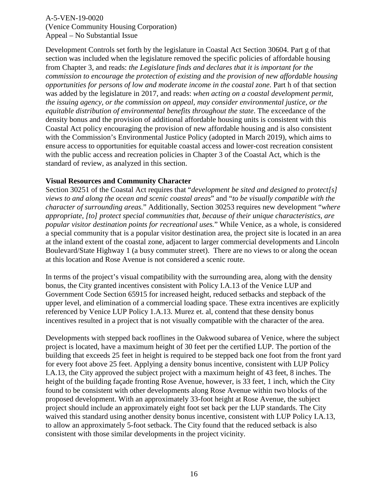Development Controls set forth by the legislature in Coastal Act Section 30604. Part g of that section was included when the legislature removed the specific policies of affordable housing from Chapter 3, and reads: *the Legislature finds and declares that it is important for the commission to encourage the protection of existing and the provision of new affordable housing opportunities for persons of low and moderate income in the coastal zone*. Part h of that section was added by the legislature in 2017, and reads: *when acting on a coastal development permit, the issuing agency, or the commission on appeal, may consider environmental justice, or the equitable distribution of environmental benefits throughout the state*. The exceedance of the density bonus and the provision of additional affordable housing units is consistent with this Coastal Act policy encouraging the provision of new affordable housing and is also consistent with the Commission's Environmental Justice Policy (adopted in March 2019), which aims to ensure access to opportunities for equitable coastal access and lower-cost recreation consistent with the public access and recreation policies in Chapter 3 of the Coastal Act, which is the standard of review, as analyzed in this section.

#### **Visual Resources and Community Character**

Section 30251 of the Coastal Act requires that "*development be sited and designed to protect[s] views to and along the ocean and scenic coastal areas*" and "*to be visually compatible with the character of surrounding areas.*" Additionally, Section 30253 requires new development "*where appropriate, [to] protect special communities that, because of their unique characteristics, are popular visitor destination points for recreational uses.*" While Venice, as a whole, is considered a special community that is a popular visitor destination area, the project site is located in an area at the inland extent of the coastal zone, adjacent to larger commercial developments and Lincoln Boulevard/State Highway 1 (a busy commuter street). There are no views to or along the ocean at this location and Rose Avenue is not considered a scenic route.

In terms of the project's visual compatibility with the surrounding area, along with the density bonus, the City granted incentives consistent with Policy I.A.13 of the Venice LUP and Government Code Section 65915 for increased height, reduced setbacks and stepback of the upper level, and elimination of a commercial loading space. These extra incentives are explicitly referenced by Venice LUP Policy 1.A.13. Murez et. al, contend that these density bonus incentives resulted in a project that is not visually compatible with the character of the area.

Developments with stepped back rooflines in the Oakwood subarea of Venice, where the subject project is located, have a maximum height of 30 feet per the certified LUP. The portion of the building that exceeds 25 feet in height is required to be stepped back one foot from the front yard for every foot above 25 feet. Applying a density bonus incentive, consistent with LUP Policy I.A.13, the City approved the subject project with a maximum height of 43 feet, 8 inches. The height of the building façade fronting Rose Avenue, however, is 33 feet, 1 inch, which the City found to be consistent with other developments along Rose Avenue within two blocks of the proposed development. With an approximately 33-foot height at Rose Avenue, the subject project should include an approximately eight foot set back per the LUP standards. The City waived this standard using another density bonus incentive, consistent with LUP Policy I.A.13, to allow an approximately 5-foot setback. The City found that the reduced setback is also consistent with those similar developments in the project vicinity.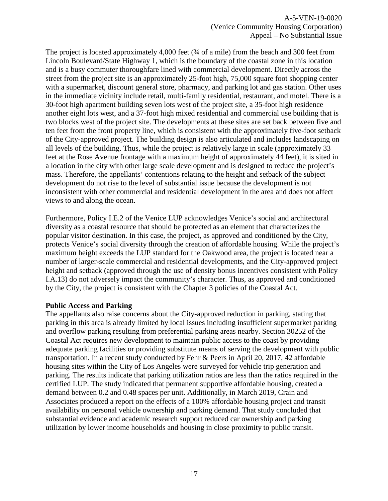The project is located approximately 4,000 feet ( $\frac{3}{4}$  of a mile) from the beach and 300 feet from Lincoln Boulevard/State Highway 1, which is the boundary of the coastal zone in this location and is a busy commuter thoroughfare lined with commercial development. Directly across the street from the project site is an approximately 25-foot high, 75,000 square foot shopping center with a supermarket, discount general store, pharmacy, and parking lot and gas station. Other uses in the immediate vicinity include retail, multi-family residential, restaurant, and motel. There is a 30-foot high apartment building seven lots west of the project site, a 35-foot high residence another eight lots west, and a 37-foot high mixed residential and commercial use building that is two blocks west of the project site. The developments at these sites are set back between five and ten feet from the front property line, which is consistent with the approximately five-foot setback of the City-approved project. The building design is also articulated and includes landscaping on all levels of the building. Thus, while the project is relatively large in scale (approximately 33 feet at the Rose Avenue frontage with a maximum height of approximately 44 feet), it is sited in a location in the city with other large scale development and is designed to reduce the project's mass. Therefore, the appellants' contentions relating to the height and setback of the subject development do not rise to the level of substantial issue because the development is not inconsistent with other commercial and residential development in the area and does not affect views to and along the ocean.

Furthermore, Policy I.E.2 of the Venice LUP acknowledges Venice's social and architectural diversity as a coastal resource that should be protected as an element that characterizes the popular visitor destination. In this case, the project, as approved and conditioned by the City, protects Venice's social diversity through the creation of affordable housing. While the project's maximum height exceeds the LUP standard for the Oakwood area, the project is located near a number of larger-scale commercial and residential developments, and the City-approved project height and setback (approved through the use of density bonus incentives consistent with Policy I.A.13) do not adversely impact the community's character. Thus, as approved and conditioned by the City, the project is consistent with the Chapter 3 policies of the Coastal Act.

#### **Public Access and Parking**

The appellants also raise concerns about the City-approved reduction in parking, stating that parking in this area is already limited by local issues including insufficient supermarket parking and overflow parking resulting from preferential parking areas nearby. Section 30252 of the Coastal Act requires new development to maintain public access to the coast by providing adequate parking facilities or providing substitute means of serving the development with public transportation. In a recent study conducted by Fehr & Peers in April 20, 2017, 42 affordable housing sites within the City of Los Angeles were surveyed for vehicle trip generation and parking. The results indicate that parking utilization ratios are less than the ratios required in the certified LUP. The study indicated that permanent supportive affordable housing, created a demand between 0.2 and 0.48 spaces per unit. Additionally, in March 2019, Crain and Associates produced a report on the effects of a 100% affordable housing project and transit availability on personal vehicle ownership and parking demand. That study concluded that substantial evidence and academic research support reduced car ownership and parking utilization by lower income households and housing in close proximity to public transit.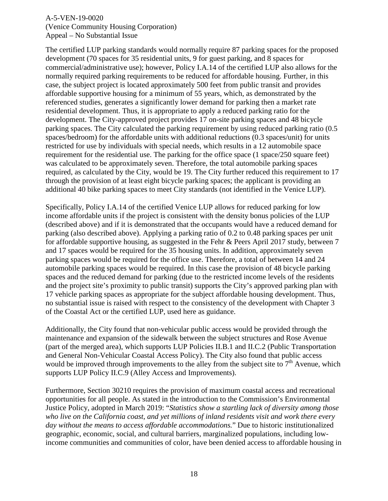The certified LUP parking standards would normally require 87 parking spaces for the proposed development (70 spaces for 35 residential units, 9 for guest parking, and 8 spaces for commercial/administrative use); however, Policy I.A.14 of the certified LUP also allows for the normally required parking requirements to be reduced for affordable housing. Further, in this case, the subject project is located approximately 500 feet from public transit and provides affordable supportive housing for a minimum of 55 years, which, as demonstrated by the referenced studies, generates a significantly lower demand for parking then a market rate residential development. Thus, it is appropriate to apply a reduced parking ratio for the development. The City-approved project provides 17 on-site parking spaces and 48 bicycle parking spaces. The City calculated the parking requirement by using reduced parking ratio (0.5 spaces/bedroom) for the affordable units with additional reductions (0.3 spaces/unit) for units restricted for use by individuals with special needs, which results in a 12 automobile space requirement for the residential use. The parking for the office space (1 space/250 square feet) was calculated to be approximately seven. Therefore, the total automobile parking spaces required, as calculated by the City, would be 19. The City further reduced this requirement to 17 through the provision of at least eight bicycle parking spaces; the applicant is providing an additional 40 bike parking spaces to meet City standards (not identified in the Venice LUP).

Specifically, Policy I.A.14 of the certified Venice LUP allows for reduced parking for low income affordable units if the project is consistent with the density bonus policies of the LUP (described above) and if it is demonstrated that the occupants would have a reduced demand for parking (also described above). Applying a parking ratio of 0.2 to 0.48 parking spaces per unit for affordable supportive housing, as suggested in the Fehr & Peers April 2017 study, between 7 and 17 spaces would be required for the 35 housing units. In addition, approximately seven parking spaces would be required for the office use. Therefore, a total of between 14 and 24 automobile parking spaces would be required. In this case the provision of 48 bicycle parking spaces and the reduced demand for parking (due to the restricted income levels of the residents and the project site's proximity to public transit) supports the City's approved parking plan with 17 vehicle parking spaces as appropriate for the subject affordable housing development. Thus, no substantial issue is raised with respect to the consistency of the development with Chapter 3 of the Coastal Act or the certified LUP, used here as guidance.

Additionally, the City found that non-vehicular public access would be provided through the maintenance and expansion of the sidewalk between the subject structures and Rose Avenue (part of the merged area), which supports LUP Policies II.B.1 and II.C.2 (Public Transportation and General Non-Vehicular Coastal Access Policy). The City also found that public access would be improved through improvements to the alley from the subject site to  $7<sup>th</sup>$  Avenue, which supports LUP Policy II.C.9 (Alley Access and Improvements).

Furthermore, Section 30210 requires the provision of maximum coastal access and recreational opportunities for all people. As stated in the introduction to the Commission's Environmental Justice Policy, adopted in March 2019: "*Statistics show a startling lack of diversity among those who live on the California coast, and yet millions of inland residents visit and work there every day without the means to access affordable accommodations.*" Due to historic institutionalized geographic, economic, social, and cultural barriers, marginalized populations, including lowincome communities and communities of color, have been denied access to affordable housing in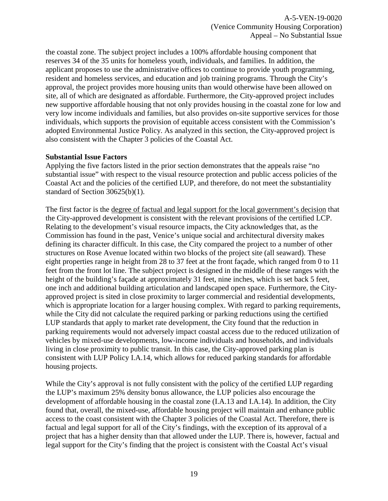the coastal zone. The subject project includes a 100% affordable housing component that reserves 34 of the 35 units for homeless youth, individuals, and families. In addition, the applicant proposes to use the administrative offices to continue to provide youth programming, resident and homeless services, and education and job training programs. Through the City's approval, the project provides more housing units than would otherwise have been allowed on site, all of which are designated as affordable. Furthermore, the City-approved project includes new supportive affordable housing that not only provides housing in the coastal zone for low and very low income individuals and families, but also provides on-site supportive services for those individuals, which supports the provision of equitable access consistent with the Commission's adopted Environmental Justice Policy. As analyzed in this section, the City-approved project is also consistent with the Chapter 3 policies of the Coastal Act.

#### **Substantial Issue Factors**

Applying the five factors listed in the prior section demonstrates that the appeals raise "no substantial issue" with respect to the visual resource protection and public access policies of the Coastal Act and the policies of the certified LUP, and therefore, do not meet the substantiality standard of Section 30625(b)(1).

The first factor is the degree of factual and legal support for the local government's decision that the City-approved development is consistent with the relevant provisions of the certified LCP. Relating to the development's visual resource impacts, the City acknowledges that, as the Commission has found in the past, Venice's unique social and architectural diversity makes defining its character difficult. In this case, the City compared the project to a number of other structures on Rose Avenue located within two blocks of the project site (all seaward). These eight properties range in height from 28 to 37 feet at the front façade, which ranged from 0 to 11 feet from the front lot line. The subject project is designed in the middle of these ranges with the height of the building's facade at approximately 31 feet, nine inches, which is set back 5 feet, one inch and additional building articulation and landscaped open space. Furthermore, the Cityapproved project is sited in close proximity to larger commercial and residential developments, which is appropriate location for a larger housing complex. With regard to parking requirements, while the City did not calculate the required parking or parking reductions using the certified LUP standards that apply to market rate development, the City found that the reduction in parking requirements would not adversely impact coastal access due to the reduced utilization of vehicles by mixed-use developments, low-income individuals and households, and individuals living in close proximity to public transit. In this case, the City-approved parking plan is consistent with LUP Policy I.A.14, which allows for reduced parking standards for affordable housing projects.

While the City's approval is not fully consistent with the policy of the certified LUP regarding the LUP's maximum 25% density bonus allowance, the LUP policies also encourage the development of affordable housing in the coastal zone (I.A.13 and I.A.14). In addition, the City found that, overall, the mixed-use, affordable housing project will maintain and enhance public access to the coast consistent with the Chapter 3 policies of the Coastal Act. Therefore, there is factual and legal support for all of the City's findings, with the exception of its approval of a project that has a higher density than that allowed under the LUP. There is, however, factual and legal support for the City's finding that the project is consistent with the Coastal Act's visual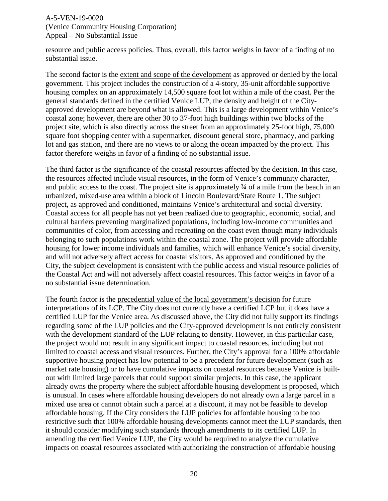resource and public access policies. Thus, overall, this factor weighs in favor of a finding of no substantial issue.

The second factor is the extent and scope of the development as approved or denied by the local government. This project includes the construction of a 4-story, 35-unit affordable supportive housing complex on an approximately 14,500 square foot lot within a mile of the coast. Per the general standards defined in the certified Venice LUP, the density and height of the Cityapproved development are beyond what is allowed. This is a large development within Venice's coastal zone; however, there are other 30 to 37-foot high buildings within two blocks of the project site, which is also directly across the street from an approximately 25-foot high, 75,000 square foot shopping center with a supermarket, discount general store, pharmacy, and parking lot and gas station, and there are no views to or along the ocean impacted by the project. This factor therefore weighs in favor of a finding of no substantial issue.

The third factor is the significance of the coastal resources affected by the decision. In this case, the resources affected include visual resources, in the form of Venice's community character, and public access to the coast. The project site is approximately ¾ of a mile from the beach in an urbanized, mixed-use area within a block of Lincoln Boulevard/State Route 1. The subject project, as approved and conditioned, maintains Venice's architectural and social diversity. Coastal access for all people has not yet been realized due to geographic, economic, social, and cultural barriers preventing marginalized populations, including low-income communities and communities of color, from accessing and recreating on the coast even though many individuals belonging to such populations work within the coastal zone. The project will provide affordable housing for lower income individuals and families, which will enhance Venice's social diversity, and will not adversely affect access for coastal visitors. As approved and conditioned by the City, the subject development is consistent with the public access and visual resource policies of the Coastal Act and will not adversely affect coastal resources. This factor weighs in favor of a no substantial issue determination.

The fourth factor is the precedential value of the local government's decision for future interpretations of its LCP. The City does not currently have a certified LCP but it does have a certified LUP for the Venice area. As discussed above, the City did not fully support its findings regarding some of the LUP policies and the City-approved development is not entirely consistent with the development standard of the LUP relating to density. However, in this particular case, the project would not result in any significant impact to coastal resources, including but not limited to coastal access and visual resources. Further, the City's approval for a 100% affordable supportive housing project has low potential to be a precedent for future development (such as market rate housing) or to have cumulative impacts on coastal resources because Venice is builtout with limited large parcels that could support similar projects. In this case, the applicant already owns the property where the subject affordable housing development is proposed, which is unusual. In cases where affordable housing developers do not already own a large parcel in a mixed use area or cannot obtain such a parcel at a discount, it may not be feasible to develop affordable housing. If the City considers the LUP policies for affordable housing to be too restrictive such that 100% affordable housing developments cannot meet the LUP standards, then it should consider modifying such standards through amendments to its certified LUP. In amending the certified Venice LUP, the City would be required to analyze the cumulative impacts on coastal resources associated with authorizing the construction of affordable housing